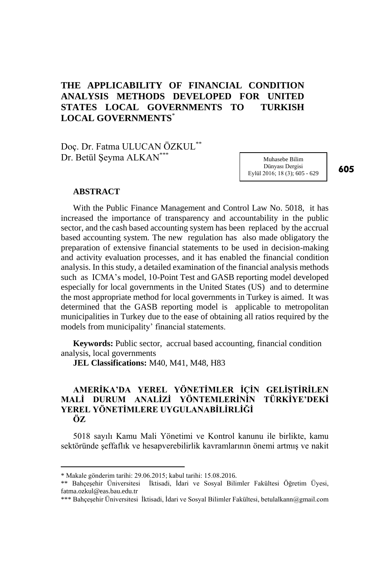# **THE APPLICABILITY OF FINANCIAL CONDITION ANALYSIS METHODS DEVELOPED FOR UNITED STATES LOCAL GOVERNMENTS TO TURKISH LOCAL GOVERNMENTS**\*

Doç. Dr. Fatma ULUCAN ÖZKUL\*\* Dr. Betül Şeyma ALKAN\*\*\*

Muhasebe Bilim Dünyası Dergisi Eylül 2016; 18 (3); 605 - 629

605

#### **ABSTRACT**

With the Public Finance Management and Control Law No. 5018, it has increased the importance of transparency and accountability in the public sector, and the cash based accounting system has been replaced by the accrual based accounting system. The new regulation has also made obligatory the preparation of extensive financial statements to be used in decision-making and activity evaluation processes, and it has enabled the financial condition analysis. In this study, a detailed examination of the financial analysis methods such as ICMA's model, 10-Point Test and GASB reporting model developed especially for local governments in the United States (US) and to determine the most appropriate method for local governments in Turkey is aimed. It was determined that the GASB reporting model is applicable to metropolitan municipalities in Turkey due to the ease of obtaining all ratios required by the models from municipality' financial statements.

**Keywords:** Public sector,accrual based accounting, financial condition analysis, local governments

**JEL Classifications:** M40, M41, M48, H83

#### **AMERİKA'DA YEREL YÖNETİMLER İÇİN GELİŞTİRİLEN MALİ DURUM ANALİZİ YÖNTEMLERİNİN TÜRKİYE'DEKİ YEREL YÖNETİMLERE UYGULANABİLİRLİĞİ ÖZ**

5018 sayılı Kamu Mali Yönetimi ve Kontrol kanunu ile birlikte, kamu sektöründe şeffaflık ve hesapverebilirlik kavramlarının önemi artmış ve nakit

 $\overline{a}$ 

<sup>\*</sup> Makale gönderim tarihi: 29.06.2015; kabul tarihi: 15.08.2016.

<sup>\*\*</sup> Bahçeşehir Üniversitesi İktisadi, İdari ve Sosyal Bilimler Fakültesi Öğretim Üyesi, fatma.ozkul@eas.bau.edu.tr

<sup>\*\*\*</sup> Bahçeşehir Üniversitesi İktisadi, İdari ve Sosyal Bilimler Fakültesi, betulalkann@gmail.com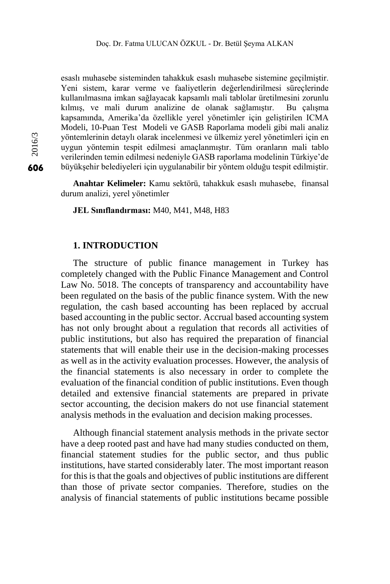esaslı muhasebe sisteminden tahakkuk esaslı muhasebe sistemine geçilmiştir. Yeni sistem, karar verme ve faaliyetlerin değerlendirilmesi süreçlerinde kullanılmasına imkan sağlayacak kapsamlı mali tablolar üretilmesini zorunlu kılmış, ve mali durum analizine de olanak sağlamıştır. Bu çalışma kapsamında, Amerika'da özellikle yerel yönetimler için geliştirilen ICMA Modeli, 10-Puan Test Modeli ve GASB Raporlama modeli gibi mali analiz yöntemlerinin detaylı olarak incelenmesi ve ülkemiz yerel yönetimleri için en uygun yöntemin tespit edilmesi amaçlanmıştır. Tüm oranların mali tablo verilerinden temin edilmesi nedeniyle GASB raporlama modelinin Türkiye'de büyükşehir belediyeleri için uygulanabilir bir yöntem olduğu tespit edilmiştir.

**Anahtar Kelimeler:** Kamu sektörü, tahakkuk esaslı muhasebe, finansal durum analizi, yerel yönetimler

**JEL Sınıflandırması:** M40, M41, M48, H83

## **1. INTRODUCTION**

The structure of public finance management in Turkey has completely changed with the Public Finance Management and Control Law No. 5018. The concepts of transparency and accountability have been regulated on the basis of the public finance system. With the new regulation, the cash based accounting has been replaced by accrual based accounting in the public sector. Accrual based accounting system has not only brought about a regulation that records all activities of public institutions, but also has required the preparation of financial statements that will enable their use in the decision-making processes as well as in the activity evaluation processes. However, the analysis of the financial statements is also necessary in order to complete the evaluation of the financial condition of public institutions. Even though detailed and extensive financial statements are prepared in private sector accounting, the decision makers do not use financial statement analysis methods in the evaluation and decision making processes.

Although financial statement analysis methods in the private sector have a deep rooted past and have had many studies conducted on them, financial statement studies for the public sector, and thus public institutions, have started considerably later. The most important reason for this is that the goals and objectives of public institutions are different than those of private sector companies. Therefore, studies on the analysis of financial statements of public institutions became possible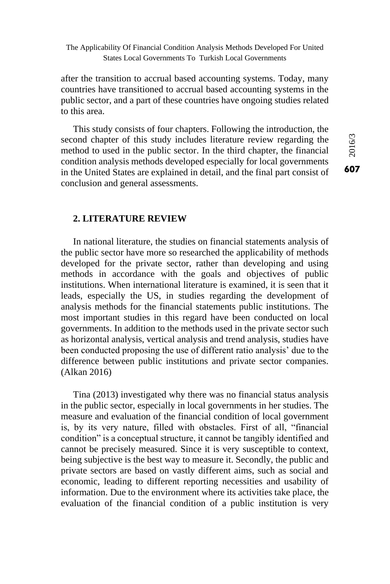after the transition to accrual based accounting systems. Today, many countries have transitioned to accrual based accounting systems in the public sector, and a part of these countries have ongoing studies related to this area.

This study consists of four chapters. Following the introduction, the second chapter of this study includes literature review regarding the method to used in the public sector. In the third chapter, the financial condition analysis methods developed especially for local governments in the United States are explained in detail, and the final part consist of conclusion and general assessments.

### **2. LITERATURE REVIEW**

In national literature, the studies on financial statements analysis of the public sector have more so researched the applicability of methods developed for the private sector, rather than developing and using methods in accordance with the goals and objectives of public institutions. When international literature is examined, it is seen that it leads, especially the US, in studies regarding the development of analysis methods for the financial statements public institutions. The most important studies in this regard have been conducted on local governments. In addition to the methods used in the private sector such as horizontal analysis, vertical analysis and trend analysis, studies have been conducted proposing the use of different ratio analysis' due to the difference between public institutions and private sector companies. (Alkan 2016)

Tina (2013) investigated why there was no financial status analysis in the public sector, especially in local governments in her studies. The measure and evaluation of the financial condition of local government is, by its very nature, filled with obstacles. First of all, "financial condition" is a conceptual structure, it cannot be tangibly identified and cannot be precisely measured. Since it is very susceptible to context, being subjective is the best way to measure it. Secondly, the public and private sectors are based on vastly different aims, such as social and economic, leading to different reporting necessities and usability of information. Due to the environment where its activities take place, the evaluation of the financial condition of a public institution is very  $607$ <br> $607$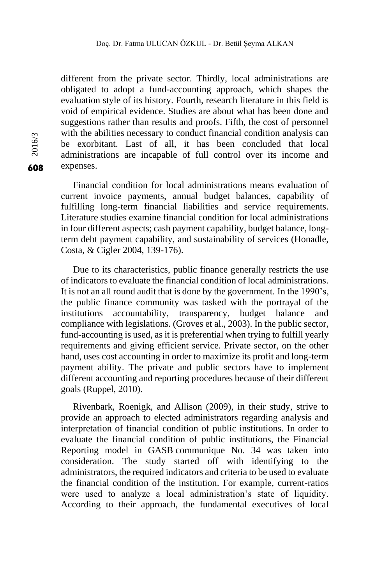different from the private sector. Thirdly, local administrations are obligated to adopt a fund-accounting approach, which shapes the evaluation style of its history. Fourth, research literature in this field is void of empirical evidence. Studies are about what has been done and suggestions rather than results and proofs. Fifth, the cost of personnel with the abilities necessary to conduct financial condition analysis can be exorbitant. Last of all, it has been concluded that local administrations are incapable of full control over its income and expenses.

Financial condition for local administrations means evaluation of current invoice payments, annual budget balances, capability of fulfilling long-term financial liabilities and service requirements. Literature studies examine financial condition for local administrations in four different aspects; cash payment capability, budget balance, longterm debt payment capability, and sustainability of services (Honadle, Costa, & Cigler 2004, 139-176).

Due to its characteristics, public finance generally restricts the use of indicators to evaluate the financial condition of local administrations. It is not an all round audit that is done by the government. In the 1990's, the public finance community was tasked with the portrayal of the institutions accountability, transparency, budget balance and compliance with legislations. (Groves et al., 2003). In the public sector, fund-accounting is used, as it is preferential when trying to fulfill yearly requirements and giving efficient service. Private sector, on the other hand, uses cost accounting in order to maximize its profit and long-term payment ability. The private and public sectors have to implement different accounting and reporting procedures because of their different goals (Ruppel, 2010).

Rivenbark, Roenigk, and Allison (2009), in their study, strive to provide an approach to elected administrators regarding analysis and interpretation of financial condition of public institutions. In order to evaluate the financial condition of public institutions, the Financial Reporting model in GASB communique No. 34 was taken into consideration. The study started off with identifying to the administrators, the required indicators and criteria to be used to evaluate the financial condition of the institution. For example, current-ratios were used to analyze a local administration's state of liquidity. According to their approach, the fundamental executives of local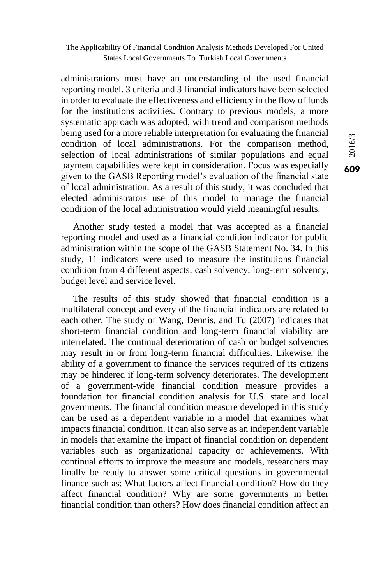administrations must have an understanding of the used financial reporting model. 3 criteria and 3 financial indicators have been selected in order to evaluate the effectiveness and efficiency in the flow of funds for the institutions activities. Contrary to previous models, a more systematic approach was adopted, with trend and comparison methods being used for a more reliable interpretation for evaluating the financial condition of local administrations. For the comparison method, selection of local administrations of similar populations and equal payment capabilities were kept in consideration. Focus was especially given to the GASB Reporting model's evaluation of the financial state of local administration. As a result of this study, it was concluded that elected administrators use of this model to manage the financial condition of the local administration would yield meaningful results.

Another study tested a model that was accepted as a financial reporting model and used as a financial condition indicator for public administration within the scope of the GASB Statement No. 34. In this study, 11 indicators were used to measure the institutions financial condition from 4 different aspects: cash solvency, long-term solvency, budget level and service level.

The results of this study showed that financial condition is a multilateral concept and every of the financial indicators are related to each other. The study of Wang, Dennis, and Tu (2007) indicates that short-term financial condition and long-term financial viability are interrelated. The continual deterioration of cash or budget solvencies may result in or from long-term financial difficulties. Likewise, the ability of a government to finance the services required of its citizens may be hindered if long-term solvency deteriorates. The development of a government-wide financial condition measure provides a foundation for financial condition analysis for U.S. state and local governments. The financial condition measure developed in this study can be used as a dependent variable in a model that examines what impacts financial condition. It can also serve as an independent variable in models that examine the impact of financial condition on dependent variables such as organizational capacity or achievements. With continual efforts to improve the measure and models, researchers may finally be ready to answer some critical questions in governmental finance such as: What factors affect financial condition? How do they affect financial condition? Why are some governments in better financial condition than others? How does financial condition affect an

6092016/3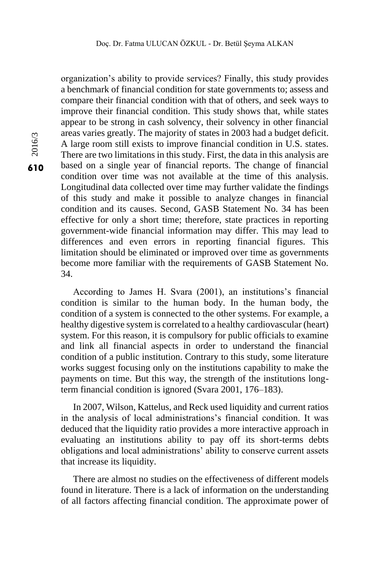organization's ability to provide services? Finally, this study provides a benchmark of financial condition for state governments to; assess and compare their financial condition with that of others, and seek ways to improve their financial condition. This study shows that, while states appear to be strong in cash solvency, their solvency in other financial areas varies greatly. The majority of states in 2003 had a budget deficit. A large room still exists to improve financial condition in U.S. states. There are two limitations in this study. First, the data in this analysis are based on a single year of financial reports. The change of financial condition over time was not available at the time of this analysis. Longitudinal data collected over time may further validate the findings of this study and make it possible to analyze changes in financial condition and its causes. Second, GASB Statement No. 34 has been effective for only a short time; therefore, state practices in reporting government-wide financial information may differ. This may lead to differences and even errors in reporting financial figures. This limitation should be eliminated or improved over time as governments become more familiar with the requirements of GASB Statement No. 34.

According to James H. Svara (2001), an institutions's financial condition is similar to the human body. In the human body, the condition of a system is connected to the other systems. For example, a healthy digestive system is correlated to a healthy cardiovascular (heart) system. For this reason, it is compulsory for public officials to examine and link all financial aspects in order to understand the financial condition of a public institution. Contrary to this study, some literature works suggest focusing only on the institutions capability to make the payments on time. But this way, the strength of the institutions longterm financial condition is ignored (Svara 2001, 176–183).

In 2007, Wilson, Kattelus, and Reck used liquidity and current ratios in the analysis of local administrations's financial condition. It was deduced that the liquidity ratio provides a more interactive approach in evaluating an institutions ability to pay off its short-terms debts obligations and local administrations' ability to conserve current assets that increase its liquidity.

There are almost no studies on the effectiveness of different models found in literature. There is a lack of information on the understanding of all factors affecting financial condition. The approximate power of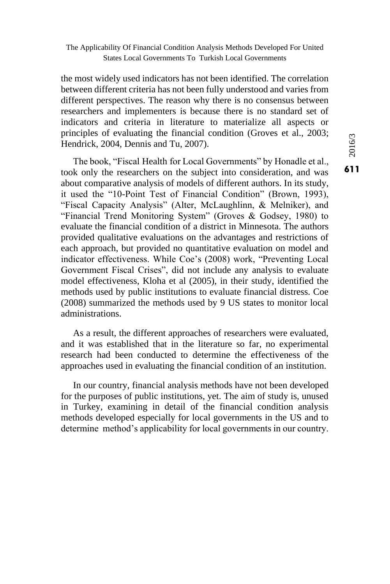the most widely used indicators has not been identified. The correlation between different criteria has not been fully understood and varies from different perspectives. The reason why there is no consensus between researchers and implementers is because there is no standard set of indicators and criteria in literature to materialize all aspects or principles of evaluating the financial condition (Groves et al., 2003; Hendrick, 2004, Dennis and Tu, 2007).

The book, "Fiscal Health for Local Governments" by Honadle et al., took only the researchers on the subject into consideration, and was about comparative analysis of models of different authors. In its study, it used the "10-Point Test of Financial Condition" (Brown, 1993), "Fiscal Capacity Analysis" (Alter, McLaughlinn, & Melniker), and "Financial Trend Monitoring System" (Groves & Godsey, 1980) to evaluate the financial condition of a district in Minnesota. The authors provided qualitative evaluations on the advantages and restrictions of each approach, but provided no quantitative evaluation on model and indicator effectiveness. While Coe's (2008) work, "Preventing Local Government Fiscal Crises", did not include any analysis to evaluate model effectiveness, Kloha et al (2005), in their study, identified the methods used by public institutions to evaluate financial distress. Coe (2008) summarized the methods used by 9 US states to monitor local administrations.

As a result, the different approaches of researchers were evaluated, and it was established that in the literature so far, no experimental research had been conducted to determine the effectiveness of the approaches used in evaluating the financial condition of an institution.

In our country, financial analysis methods have not been developed for the purposes of public institutions, yet. The aim of study is, unused in Turkey, examining in detail of the financial condition analysis methods developed especially for local governments in the US and to determine method's applicability for local governments in our country.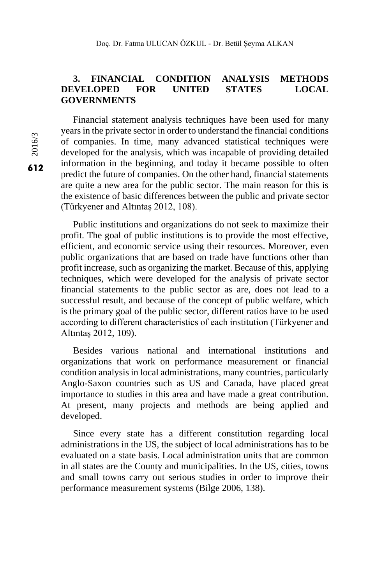# **3. FINANCIAL CONDITION ANALYSIS METHODS DEVELOPED FOR UNITED STATES LOCAL GOVERNMENTS**

Financial statement analysis techniques have been used for many years in the private sector in order to understand the financial conditions of companies. In time, many advanced statistical techniques were developed for the analysis, which was incapable of providing detailed information in the beginning, and today it became possible to often predict the future of companies. On the other hand, financial statements are quite a new area for the public sector. The main reason for this is the existence of basic differences between the public and private sector (Türkyener and Altıntaş 2012, 108).

Public institutions and organizations do not seek to maximize their profit. The goal of public institutions is to provide the most effective, efficient, and economic service using their resources. Moreover, even public organizations that are based on trade have functions other than profit increase, such as organizing the market. Because of this, applying techniques, which were developed for the analysis of private sector financial statements to the public sector as are, does not lead to a successful result, and because of the concept of public welfare, which is the primary goal of the public sector, different ratios have to be used according to different characteristics of each institution (Türkyener and Altıntaş 2012, 109).

Besides various national and international institutions and organizations that work on performance measurement or financial condition analysis in local administrations, many countries, particularly Anglo-Saxon countries such as US and Canada, have placed great importance to studies in this area and have made a great contribution. At present, many projects and methods are being applied and developed.

Since every state has a different constitution regarding local administrations in the US, the subject of local administrations has to be evaluated on a state basis. Local administration units that are common in all states are the County and municipalities. In the US, cities, towns and small towns carry out serious studies in order to improve their performance measurement systems (Bilge 2006, 138).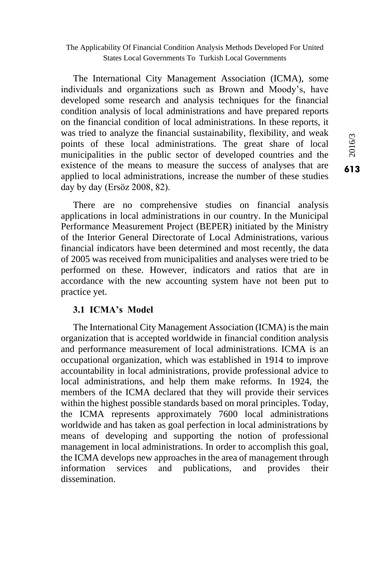The International City Management Association (ICMA), some individuals and organizations such as Brown and Moody's, have developed some research and analysis techniques for the financial condition analysis of local administrations and have prepared reports on the financial condition of local administrations. In these reports, it was tried to analyze the financial sustainability, flexibility, and weak points of these local administrations. The great share of local municipalities in the public sector of developed countries and the existence of the means to measure the success of analyses that are applied to local administrations, increase the number of these studies day by day (Ersöz 2008, 82).

There are no comprehensive studies on financial analysis applications in local administrations in our country. In the Municipal Performance Measurement Project (BEPER) initiated by the Ministry of the Interior General Directorate of Local Administrations, various financial indicators have been determined and most recently, the data of 2005 was received from municipalities and analyses were tried to be performed on these. However, indicators and ratios that are in accordance with the new accounting system have not been put to practice yet.

#### **3.1 ICMA's Model**

The International City Management Association (ICMA) is the main organization that is accepted worldwide in financial condition analysis and performance measurement of local administrations. ICMA is an occupational organization, which was established in 1914 to improve accountability in local administrations, provide professional advice to local administrations, and help them make reforms. In 1924, the members of the ICMA declared that they will provide their services within the highest possible standards based on moral principles. Today, the ICMA represents approximately 7600 local administrations worldwide and has taken as goal perfection in local administrations by means of developing and supporting the notion of professional management in local administrations. In order to accomplish this goal, the ICMA develops new approaches in the area of management through information services and publications, and provides their dissemination.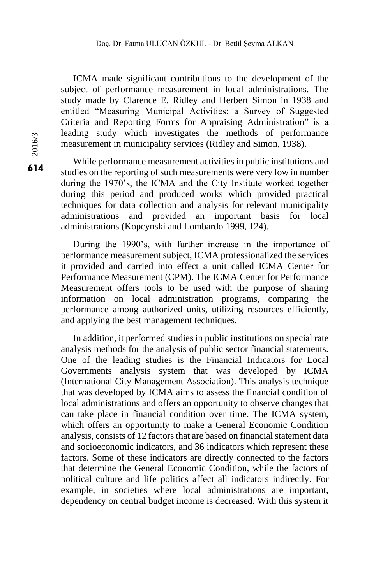ICMA made significant contributions to the development of the subject of performance measurement in local administrations. The study made by Clarence E. Ridley and Herbert Simon in 1938 and entitled "Measuring Municipal Activities: a Survey of Suggested Criteria and Reporting Forms for Appraising Administration" is a leading study which investigates the methods of performance measurement in municipality services (Ridley and Simon, 1938).

While performance measurement activities in public institutions and studies on the reporting of such measurements were very low in number during the 1970's, the ICMA and the City Institute worked together during this period and produced works which provided practical techniques for data collection and analysis for relevant municipality administrations and provided an important basis for local administrations (Kopcynski and Lombardo 1999, 124).

During the 1990's, with further increase in the importance of performance measurement subject, ICMA professionalized the services it provided and carried into effect a unit called ICMA Center for Performance Measurement (CPM). The ICMA Center for Performance Measurement offers tools to be used with the purpose of sharing information on local administration programs, comparing the performance among authorized units, utilizing resources efficiently, and applying the best management techniques.

In addition, it performed studies in public institutions on special rate analysis methods for the analysis of public sector financial statements. One of the leading studies is the Financial Indicators for Local Governments analysis system that was developed by ICMA (International City Management Association). This analysis technique that was developed by ICMA aims to assess the financial condition of local administrations and offers an opportunity to observe changes that can take place in financial condition over time. The ICMA system, which offers an opportunity to make a General Economic Condition analysis, consists of 12 factors that are based on financial statement data and socioeconomic indicators, and 36 indicators which represent these factors. Some of these indicators are directly connected to the factors that determine the General Economic Condition, while the factors of political culture and life politics affect all indicators indirectly. For example, in societies where local administrations are important, dependency on central budget income is decreased. With this system it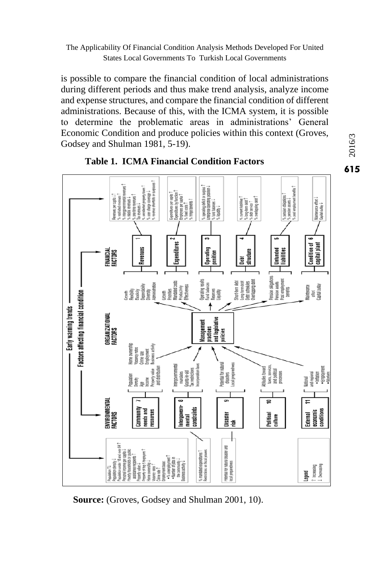is possible to compare the financial condition of local administrations during different periods and thus make trend analysis, analyze income and expense structures, and compare the financial condition of different administrations. Because of this, with the ICMA system, it is possible to determine the problematic areas in administrations' General Economic Condition and produce policies within this context (Groves, Godsey and Shulman 1981, 5-19).





**Source:** (Groves, Godsey and Shulman 2001, 10).

 $616/3$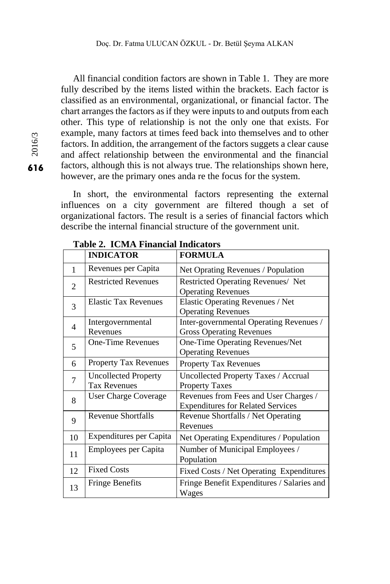All financial condition factors are shown in Table 1. They are more fully described by the items listed within the brackets. Each factor is classified as an environmental, organizational, or financial factor. The chart arranges the factors as if they were inputs to and outputs from each other. This type of relationship is not the only one that exists. For example, many factors at times feed back into themselves and to other factors. In addition, the arrangement of the factors suggets a clear cause and affect relationship between the environmental and the financial factors, although this is not always true. The relationships shown here, however, are the primary ones anda re the focus for the system.

In short, the environmental factors representing the external influences on a city government are filtered though a set of organizational factors. The result is a series of financial factors which describe the internal financial structure of the government unit.

| <b>TOWN'S L'Induction Thy</b> |                                                    |                                                                                   |  |
|-------------------------------|----------------------------------------------------|-----------------------------------------------------------------------------------|--|
|                               | <b>INDICATOR</b>                                   | <b>FORMULA</b>                                                                    |  |
| 1                             | Revenues per Capita                                | Net Oprating Revenues / Population                                                |  |
| $\overline{2}$                | <b>Restricted Revenues</b>                         | Restricted Operating Revenues/ Net<br><b>Operating Revenues</b>                   |  |
| 3                             | <b>Elastic Tax Revenues</b>                        | Elastic Operating Revenues / Net<br><b>Operating Revenues</b>                     |  |
| 4                             | Intergovernmental<br>Revenues                      | Inter-governmental Operating Revenues /<br><b>Gross Operating Revenues</b>        |  |
| 5                             | <b>One-Time Revenues</b>                           | One-Time Operating Revenues/Net<br><b>Operating Revenues</b>                      |  |
| 6                             | <b>Property Tax Revenues</b>                       | <b>Property Tax Revenues</b>                                                      |  |
| 7                             | <b>Uncollected Property</b><br><b>Tax Revenues</b> | Uncollected Property Taxes / Accrual<br><b>Property Taxes</b>                     |  |
| 8                             | <b>User Charge Coverage</b>                        | Revenues from Fees and User Charges /<br><b>Expenditures for Related Services</b> |  |
| 9                             | Revenue Shortfalls                                 | Revenue Shortfalls / Net Operating<br>Revenues                                    |  |
| 10                            | Expenditures per Capita                            | Net Operating Expenditures / Population                                           |  |
| 11                            | Employees per Capita                               | Number of Municipal Employees /<br>Population                                     |  |
| 12                            | <b>Fixed Costs</b>                                 | Fixed Costs / Net Operating Expenditures                                          |  |
| 13                            | <b>Fringe Benefits</b>                             | Fringe Benefit Expenditures / Salaries and<br>Wages                               |  |

**Table 2. ICMA Financial Indicators**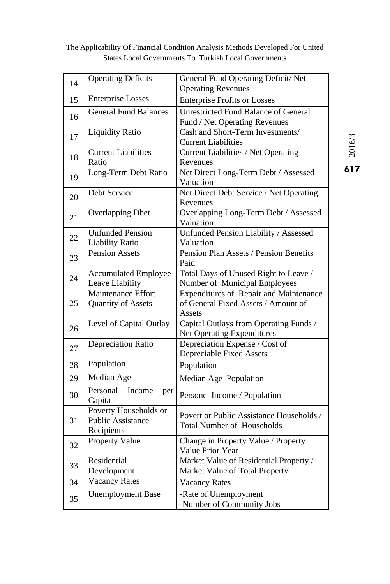| 14                                                                   | <b>Operating Deficits</b><br>General Fund Operating Deficit/ Net |                                                 |  |  |
|----------------------------------------------------------------------|------------------------------------------------------------------|-------------------------------------------------|--|--|
|                                                                      | <b>Enterprise Losses</b>                                         | <b>Operating Revenues</b>                       |  |  |
| 15                                                                   |                                                                  | <b>Enterprise Profits or Losses</b>             |  |  |
| 16                                                                   | <b>General Fund Balances</b>                                     | <b>Unrestricted Fund Balance of General</b>     |  |  |
|                                                                      |                                                                  | Fund / Net Operating Revenues                   |  |  |
| 17                                                                   | <b>Liquidity Ratio</b>                                           | Cash and Short-Term Investments/                |  |  |
|                                                                      | <b>Current Liabilities</b>                                       | <b>Current Liabilities</b>                      |  |  |
| 18                                                                   | Ratio                                                            | Current Liabilities / Net Operating<br>Revenues |  |  |
|                                                                      | Long-Term Debt Ratio                                             | Net Direct Long-Term Debt / Assessed            |  |  |
| 19                                                                   |                                                                  | Valuation                                       |  |  |
| 20                                                                   | Debt Service                                                     | Net Direct Debt Service / Net Operating         |  |  |
|                                                                      |                                                                  | Revenues                                        |  |  |
| 21                                                                   | <b>Overlapping Dbet</b>                                          | Overlapping Long-Term Debt / Assessed           |  |  |
|                                                                      |                                                                  | Valuation                                       |  |  |
| <b>Unfunded Pension</b><br>22<br><b>Liability Ratio</b><br>Valuation |                                                                  | Unfunded Pension Liability / Assessed           |  |  |
|                                                                      |                                                                  |                                                 |  |  |
| <b>Pension Assets</b><br>23                                          |                                                                  | Pension Plan Assets / Pension Benefits          |  |  |
|                                                                      | <b>Accumulated Employee</b>                                      | Paid<br>Total Days of Unused Right to Leave /   |  |  |
| 24                                                                   | Leave Liability                                                  | Number of Municipal Employees                   |  |  |
|                                                                      | Maintenance Effort                                               | Expenditures of Repair and Maintenance          |  |  |
| 25                                                                   | Quantity of Assets                                               | of General Fixed Assets / Amount of             |  |  |
|                                                                      |                                                                  | Assets                                          |  |  |
| 26                                                                   | Level of Capital Outlay                                          | Capital Outlays from Operating Funds /          |  |  |
|                                                                      |                                                                  | Net Operating Expenditures                      |  |  |
| 27                                                                   | Depreciation Ratio                                               | Depreciation Expense / Cost of                  |  |  |
|                                                                      |                                                                  | Depreciable Fixed Assets                        |  |  |
| 28                                                                   | Population                                                       | Population                                      |  |  |
| 29                                                                   | Median Age                                                       | Median Age Population                           |  |  |
| 30                                                                   | Personal<br>Income<br>per                                        | Personel Income / Population                    |  |  |
|                                                                      | Capita                                                           |                                                 |  |  |
|                                                                      | Poverty Households or                                            | Povert or Public Assistance Households /        |  |  |
| 31                                                                   | <b>Public Assistance</b>                                         | <b>Total Number of Households</b>               |  |  |
|                                                                      | Recipients<br>Property Value                                     | Change in Property Value / Property             |  |  |
| 32                                                                   |                                                                  | Value Prior Year                                |  |  |
|                                                                      | Residential                                                      | Market Value of Residential Property /          |  |  |
| 33                                                                   | Development                                                      | Market Value of Total Property                  |  |  |
| 34                                                                   | <b>Vacancy Rates</b>                                             | <b>Vacancy Rates</b>                            |  |  |
|                                                                      | <b>Unemployment Base</b>                                         | -Rate of Unemployment                           |  |  |
| 35                                                                   |                                                                  | -Number of Community Jobs                       |  |  |

617<br> $2016/3$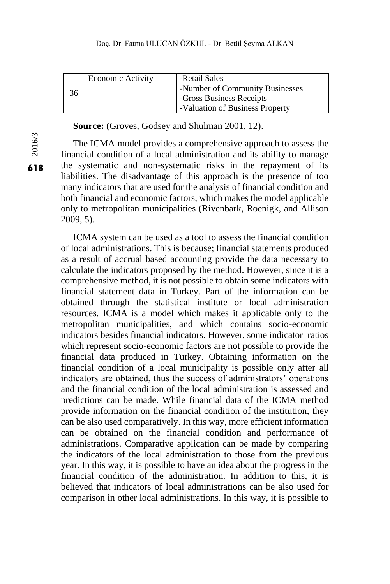|    | <b>Economic Activity</b> | -Retail Sales                   |
|----|--------------------------|---------------------------------|
|    |                          | -Number of Community Businesses |
| 36 |                          | -Gross Business Receipts        |
|    |                          | -Valuation of Business Property |

**Source: (**Groves, Godsey and Shulman 2001, 12).

The ICMA model provides a comprehensive approach to assess the financial condition of a local administration and its ability to manage the systematic and non-systematic risks in the repayment of its liabilities. The disadvantage of this approach is the presence of too many indicators that are used for the analysis of financial condition and both financial and economic factors, which makes the model applicable only to metropolitan municipalities (Rivenbark, Roenigk, and Allison 2009, 5).

ICMA system can be used as a tool to assess the financial condition of local administrations. This is because; financial statements produced as a result of accrual based accounting provide the data necessary to calculate the indicators proposed by the method. However, since it is a comprehensive method, it is not possible to obtain some indicators with financial statement data in Turkey. Part of the information can be obtained through the statistical institute or local administration resources. ICMA is a model which makes it applicable only to the metropolitan municipalities, and which contains socio-economic indicators besides financial indicators. However, some indicator ratios which represent socio-economic factors are not possible to provide the financial data produced in Turkey. Obtaining information on the financial condition of a local municipality is possible only after all indicators are obtained, thus the success of administrators' operations and the financial condition of the local administration is assessed and predictions can be made. While financial data of the ICMA method provide information on the financial condition of the institution, they can be also used comparatively. In this way, more efficient information can be obtained on the financial condition and performance of administrations. Comparative application can be made by comparing the indicators of the local administration to those from the previous year. In this way, it is possible to have an idea about the progress in the financial condition of the administration. In addition to this, it is believed that indicators of local administrations can be also used for comparison in other local administrations. In this way, it is possible to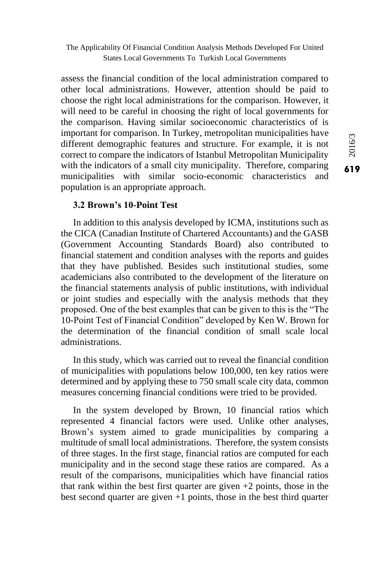assess the financial condition of the local administration compared to other local administrations. However, attention should be paid to choose the right local administrations for the comparison. However, it will need to be careful in choosing the right of local governments for the comparison. Having similar socioeconomic characteristics of is important for comparison. In Turkey, metropolitan municipalities have different demographic features and structure. For example, it is not correct to compare the indicators of Istanbul Metropolitan Municipality with the indicators of a small city municipality. Therefore, comparing municipalities with similar socio-economic characteristics and population is an appropriate approach.

## **3.2 Brown's 10-Point Test**

In addition to this analysis developed by ICMA, institutions such as the CICA (Canadian Institute of Chartered Accountants) and the GASB (Government Accounting Standards Board) also contributed to financial statement and condition analyses with the reports and guides that they have published. Besides such institutional studies, some academicians also contributed to the development of the literature on the financial statements analysis of public institutions, with individual or joint studies and especially with the analysis methods that they proposed. One of the best examples that can be given to this is the "The 10-Point Test of Financial Condition" developed by Ken W. Brown for the determination of the financial condition of small scale local administrations.

In this study, which was carried out to reveal the financial condition of municipalities with populations below 100,000, ten key ratios were determined and by applying these to 750 small scale city data, common measures concerning financial conditions were tried to be provided.

In the system developed by Brown, 10 financial ratios which represented 4 financial factors were used. Unlike other analyses, Brown's system aimed to grade municipalities by comparing a multitude of small local administrations. Therefore, the system consists of three stages. In the first stage, financial ratios are computed for each municipality and in the second stage these ratios are compared. As a result of the comparisons, municipalities which have financial ratios that rank within the best first quarter are given  $+2$  points, those in the best second quarter are given  $+1$  points, those in the best third quarter  $616/3$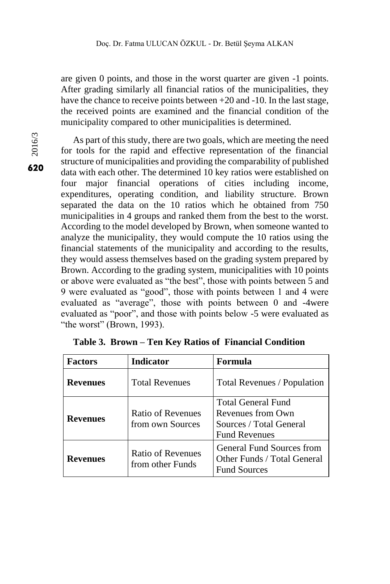are given 0 points, and those in the worst quarter are given -1 points. After grading similarly all financial ratios of the municipalities, they have the chance to receive points between +20 and -10. In the last stage, the received points are examined and the financial condition of the municipality compared to other municipalities is determined.

2016/3

As part of this study, there are two goals, which are meeting the need for tools for the rapid and effective representation of the financial structure of municipalities and providing the comparability of published data with each other. The determined 10 key ratios were established on four major financial operations of cities including income, expenditures, operating condition, and liability structure. Brown separated the data on the 10 ratios which he obtained from 750 municipalities in 4 groups and ranked them from the best to the worst. According to the model developed by Brown, when someone wanted to analyze the municipality, they would compute the 10 ratios using the financial statements of the municipality and according to the results, they would assess themselves based on the grading system prepared by Brown. According to the grading system, municipalities with 10 points or above were evaluated as "the best", those with points between 5 and 9 were evaluated as "good", those with points between 1 and 4 were evaluated as "average", those with points between 0 and -4were evaluated as "poor", and those with points below -5 were evaluated as "the worst" (Brown, 1993).

| <b>Factors</b>                                           | <b>Indicator</b>                      | Formula                                                                                           |  |
|----------------------------------------------------------|---------------------------------------|---------------------------------------------------------------------------------------------------|--|
| <b>Revenues</b>                                          | <b>Total Revenues</b>                 | Total Revenues / Population                                                                       |  |
| <b>Revenues</b>                                          | Ratio of Revenues<br>from own Sources | <b>Total General Fund</b><br>Revenues from Own<br>Sources / Total General<br><b>Fund Revenues</b> |  |
| Ratio of Revenues<br><b>Revenues</b><br>from other Funds |                                       | General Fund Sources from<br>Other Funds / Total General<br><b>Fund Sources</b>                   |  |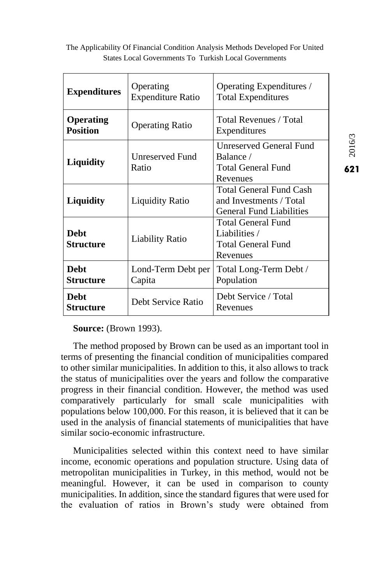| <b>Expenditures</b>                                           | Operating<br><b>Expenditure Ratio</b> | Operating Expenditures /<br><b>Total Expenditures</b>                                 |  |
|---------------------------------------------------------------|---------------------------------------|---------------------------------------------------------------------------------------|--|
| <b>Operating</b><br><b>Operating Ratio</b><br><b>Position</b> |                                       | Total Revenues / Total<br>Expenditures                                                |  |
| <b>Liquidity</b>                                              | Unreserved Fund<br>Ratio              | <b>Unreserved General Fund</b><br>Balance /<br>Total General Fund<br>Revenues         |  |
| <b>Liquidity</b>                                              | <b>Liquidity Ratio</b>                | Total General Fund Cash<br>and Investments / Total<br><b>General Fund Liabilities</b> |  |
| <b>Debt</b><br><b>Liability Ratio</b><br><b>Structure</b>     |                                       | Total General Fund<br>Liabilities /<br><b>Total General Fund</b><br>Revenues          |  |
| <b>Debt</b><br><b>Structure</b>                               | Lond-Term Debt per<br>Capita          | Total Long-Term Debt /<br>Population                                                  |  |
| <b>Debt</b><br><b>Structure</b>                               | Debt Service Ratio                    | Debt Service / Total<br>Revenues                                                      |  |

**Source:** (Brown 1993).

The method proposed by Brown can be used as an important tool in terms of presenting the financial condition of municipalities compared to other similar municipalities. In addition to this, it also allows to track the status of municipalities over the years and follow the comparative progress in their financial condition. However, the method was used comparatively particularly for small scale municipalities with populations below 100,000. For this reason, it is believed that it can be used in the analysis of financial statements of municipalities that have similar socio-economic infrastructure.

Municipalities selected within this context need to have similar income, economic operations and population structure. Using data of metropolitan municipalities in Turkey, in this method, would not be meaningful. However, it can be used in comparison to county municipalities. In addition, since the standard figures that were used for the evaluation of ratios in Brown's study were obtained from

 $6216/3$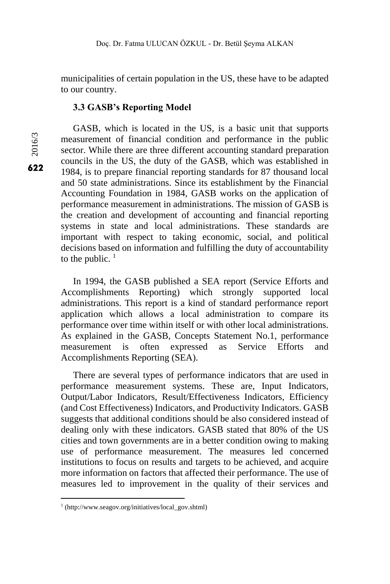municipalities of certain population in the US, these have to be adapted to our country.

### **3.3 GASB's Reporting Model**

GASB, which is located in the US, is a basic unit that supports measurement of financial condition and performance in the public sector. While there are three different accounting standard preparation councils in the US, the duty of the GASB, which was established in 1984, is to prepare financial reporting standards for 87 thousand local and 50 state administrations. Since its establishment by the Financial Accounting Foundation in 1984, GASB works on the application of performance measurement in administrations. The mission of GASB is the creation and development of accounting and financial reporting systems in state and local administrations. These standards are important with respect to taking economic, social, and political decisions based on information and fulfilling the duty of accountability to the public.  $<sup>1</sup>$ </sup>

In 1994, the GASB published a SEA report (Service Efforts and Accomplishments Reporting) which strongly supported local administrations. This report is a kind of standard performance report application which allows a local administration to compare its performance over time within itself or with other local administrations. As explained in the GASB, Concepts Statement No.1, performance measurement is often expressed as Service Efforts and Accomplishments Reporting (SEA).

There are several types of performance indicators that are used in performance measurement systems. These are, Input Indicators, Output/Labor Indicators, Result/Effectiveness Indicators, Efficiency (and Cost Effectiveness) Indicators, and Productivity Indicators. GASB suggests that additional conditions should be also considered instead of dealing only with these indicators. GASB stated that 80% of the US cities and town governments are in a better condition owing to making use of performance measurement. The measures led concerned institutions to focus on results and targets to be achieved, and acquire more information on factors that affected their performance. The use of measures led to improvement in the quality of their services and

 $\overline{a}$ 

<sup>1</sup> (http://www.seagov.org/initiatives/local\_gov.shtml)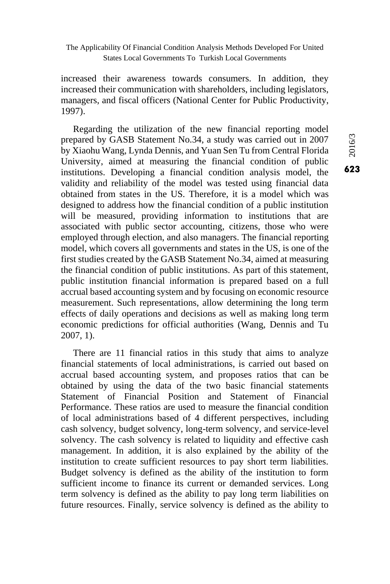increased their awareness towards consumers. In addition, they increased their communication with shareholders, including legislators, managers, and fiscal officers (National Center for Public Productivity, 1997).

Regarding the utilization of the new financial reporting model prepared by GASB Statement No.34, a study was carried out in 2007 by Xiaohu Wang, Lynda Dennis, and Yuan Sen Tu from Central Florida University, aimed at measuring the financial condition of public institutions. Developing a financial condition analysis model, the validity and reliability of the model was tested using financial data obtained from states in the US. Therefore, it is a model which was designed to address how the financial condition of a public institution will be measured, providing information to institutions that are associated with public sector accounting, citizens, those who were employed through election, and also managers. The financial reporting model, which covers all governments and states in the US, is one of the first studies created by the GASB Statement No.34, aimed at measuring the financial condition of public institutions. As part of this statement, public institution financial information is prepared based on a full accrual based accounting system and by focusing on economic resource measurement. Such representations, allow determining the long term effects of daily operations and decisions as well as making long term economic predictions for official authorities (Wang, Dennis and Tu 2007, 1).

There are 11 financial ratios in this study that aims to analyze financial statements of local administrations, is carried out based on accrual based accounting system, and proposes ratios that can be obtained by using the data of the two basic financial statements Statement of Financial Position and Statement of Financial Performance. These ratios are used to measure the financial condition of local administrations based of 4 different perspectives, including cash solvency, budget solvency, long-term solvency, and service-level solvency. The cash solvency is related to liquidity and effective cash management. In addition, it is also explained by the ability of the institution to create sufficient resources to pay short term liabilities. Budget solvency is defined as the ability of the institution to form sufficient income to finance its current or demanded services. Long term solvency is defined as the ability to pay long term liabilities on future resources. Finally, service solvency is defined as the ability to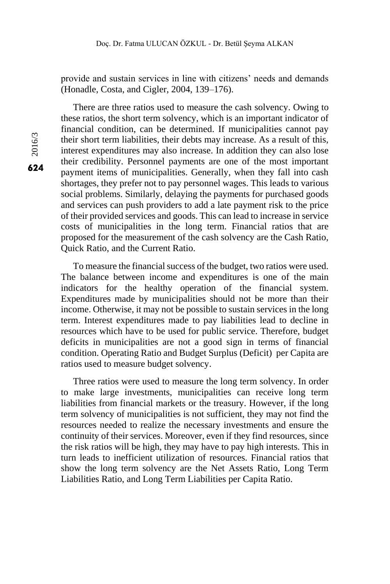provide and sustain services in line with citizens' needs and demands (Honadle, Costa, and Cigler, 2004, 139–176).

There are three ratios used to measure the cash solvency. Owing to these ratios, the short term solvency, which is an important indicator of financial condition, can be determined. If municipalities cannot pay their short term liabilities, their debts may increase. As a result of this, interest expenditures may also increase. In addition they can also lose their credibility. Personnel payments are one of the most important payment items of municipalities. Generally, when they fall into cash shortages, they prefer not to pay personnel wages. This leads to various social problems. Similarly, delaying the payments for purchased goods and services can push providers to add a late payment risk to the price of their provided services and goods. This can lead to increase in service costs of municipalities in the long term. Financial ratios that are proposed for the measurement of the cash solvency are the Cash Ratio, Quick Ratio, and the Current Ratio.

To measure the financial success of the budget, two ratios were used. The balance between income and expenditures is one of the main indicators for the healthy operation of the financial system. Expenditures made by municipalities should not be more than their income. Otherwise, it may not be possible to sustain services in the long term. Interest expenditures made to pay liabilities lead to decline in resources which have to be used for public service. Therefore, budget deficits in municipalities are not a good sign in terms of financial condition. Operating Ratio and Budget Surplus (Deficit) per Capita are ratios used to measure budget solvency.

Three ratios were used to measure the long term solvency. In order to make large investments, municipalities can receive long term liabilities from financial markets or the treasury. However, if the long term solvency of municipalities is not sufficient, they may not find the resources needed to realize the necessary investments and ensure the continuity of their services. Moreover, even if they find resources, since the risk ratios will be high, they may have to pay high interests. This in turn leads to inefficient utilization of resources. Financial ratios that show the long term solvency are the Net Assets Ratio, Long Term Liabilities Ratio, and Long Term Liabilities per Capita Ratio.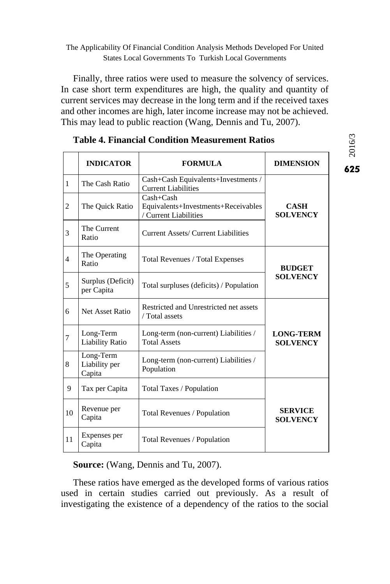Finally, three ratios were used to measure the solvency of services. In case short term expenditures are high, the quality and quantity of current services may decrease in the long term and if the received taxes and other incomes are high, later income increase may not be achieved. This may lead to public reaction (Wang, Dennis and Tu, 2007).

|                | <b>INDICATOR</b>                     | <b>FORMULA</b>                                                                | <b>DIMENSION</b>                    |  |
|----------------|--------------------------------------|-------------------------------------------------------------------------------|-------------------------------------|--|
| $\mathbf{1}$   | The Cash Ratio                       | Cash+Cash Equivalents+Investments /<br><b>Current Liabilities</b>             |                                     |  |
| $\overline{c}$ | The Quick Ratio                      | $Cash + Cash$<br>Equivalents+Investments+Receivables<br>/ Current Liabilities | <b>CASH</b><br><b>SOLVENCY</b>      |  |
| 3              | The Current<br>Ratio                 | Current Assets/ Current Liabilities                                           |                                     |  |
| $\overline{4}$ | The Operating<br>Ratio               | Total Revenues / Total Expenses                                               | <b>BUDGET</b>                       |  |
| 5              | Surplus (Deficit)<br>per Capita      | Total surpluses (deficits) / Population                                       | <b>SOLVENCY</b>                     |  |
| 6              | Net Asset Ratio                      | Restricted and Unrestricted net assets<br>/ Total assets                      |                                     |  |
| 7              | Long-Term<br><b>Liability Ratio</b>  | Long-term (non-current) Liabilities /<br><b>Total Assets</b>                  | <b>LONG-TERM</b><br><b>SOLVENCY</b> |  |
| 8              | Long-Term<br>Liability per<br>Capita | Long-term (non-current) Liabilities /<br>Population                           |                                     |  |
| 9              | Tax per Capita                       | Total Taxes / Population                                                      |                                     |  |
| 10             | Revenue per<br>Capita                | Total Revenues / Population                                                   | <b>SERVICE</b><br><b>SOLVENCY</b>   |  |
| 11             | Expenses per<br>Capita               | Total Revenues / Population                                                   |                                     |  |

# **Table 4. Financial Condition Measurement Ratios**

**Source:** (Wang, Dennis and Tu, 2007).

These ratios have emerged as the developed forms of various ratios used in certain studies carried out previously. As a result of investigating the existence of a dependency of the ratios to the social 625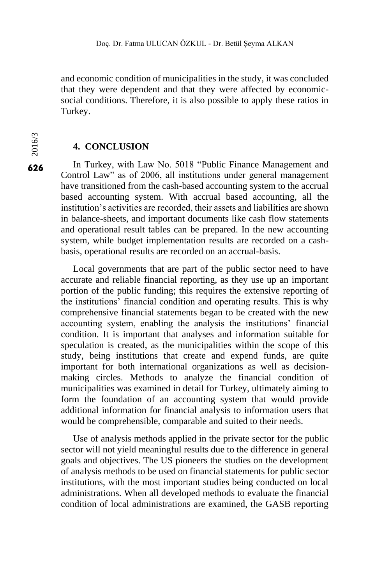and economic condition of municipalities in the study, it was concluded that they were dependent and that they were affected by economicsocial conditions. Therefore, it is also possible to apply these ratios in Turkey.

# **4. CONCLUSION**

In Turkey, with Law No. 5018 "Public Finance Management and Control Law" as of 2006, all institutions under general management have transitioned from the cash-based accounting system to the accrual based accounting system. With accrual based accounting, all the institution's activities are recorded, their assets and liabilities are shown in balance-sheets, and important documents like cash flow statements and operational result tables can be prepared. In the new accounting system, while budget implementation results are recorded on a cashbasis, operational results are recorded on an accrual-basis.

Local governments that are part of the public sector need to have accurate and reliable financial reporting, as they use up an important portion of the public funding; this requires the extensive reporting of the institutions' financial condition and operating results. This is why comprehensive financial statements began to be created with the new accounting system, enabling the analysis the institutions' financial condition. It is important that analyses and information suitable for speculation is created, as the municipalities within the scope of this study, being institutions that create and expend funds, are quite important for both international organizations as well as decisionmaking circles. Methods to analyze the financial condition of municipalities was examined in detail for Turkey, ultimately aiming to form the foundation of an accounting system that would provide additional information for financial analysis to information users that would be comprehensible, comparable and suited to their needs.

Use of analysis methods applied in the private sector for the public sector will not yield meaningful results due to the difference in general goals and objectives. The US pioneers the studies on the development of analysis methods to be used on financial statements for public sector institutions, with the most important studies being conducted on local administrations. When all developed methods to evaluate the financial condition of local administrations are examined, the GASB reporting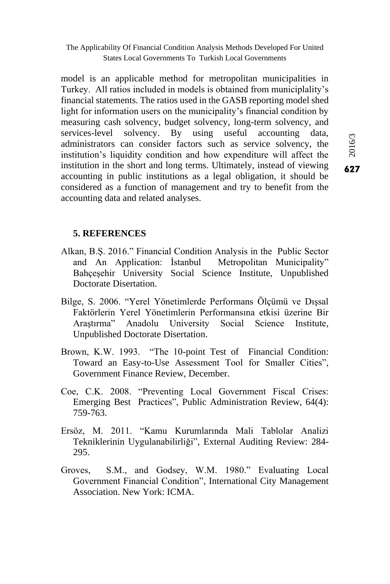model is an applicable method for metropolitan municipalities in Turkey. All ratios included in models is obtained from municiplality's financial statements. The ratios used in the GASB reporting model shed light for information users on the municipality's financial condition by measuring cash solvency, budget solvency, long-term solvency, and services-level solvency. By using useful accounting data, administrators can consider factors such as service solvency, the institution's liquidity condition and how expenditure will affect the institution in the short and long terms. Ultimately, instead of viewing accounting in public institutions as a legal obligation, it should be considered as a function of management and try to benefit from the accounting data and related analyses.

## **5. REFERENCES**

- Alkan, B.Ş. 2016." Financial Condition Analysis in the Public Sector and An Application: İstanbul Metropolitan Municipality" Bahçeşehir University Social Science Institute, Unpublished Doctorate Disertation.
- Bilge, S. 2006. "Yerel Yönetimlerde Performans Ölçümü ve Dışsal Faktörlerin Yerel Yönetimlerin Performansına etkisi üzerine Bir Araştırma" Anadolu University Social Science Institute, Unpublished Doctorate Disertation.
- Brown, K.W. 1993. "The 10-point Test of Financial Condition: Toward an Easy-to-Use Assessment Tool for Smaller Cities", Government Finance Review, December.
- Coe, C.K. 2008. "Preventing Local Government Fiscal Crises: Emerging Best Practices", Public Administration Review, 64(4): 759-763.
- Ersöz, M. 2011. "Kamu Kurumlarında Mali Tablolar Analizi Tekniklerinin Uygulanabilirliği", External Auditing Review: 284- 295.
- Groves, S.M., and Godsey, W.M. 1980." Evaluating Local Government Financial Condition", International City Management Association. New York: ICMA.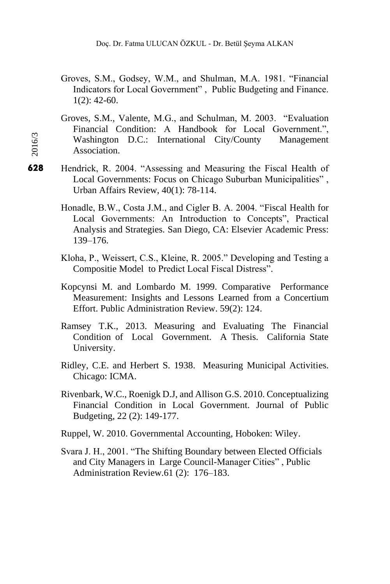- Groves, S.M., Godsey, W.M., and Shulman, M.A. 1981. "Financial Indicators for Local Government" , Public Budgeting and Finance.  $1(2): 42-60.$
- Groves, S.M., Valente, M.G., and Schulman, M. 2003. "Evaluation Financial Condition: A Handbook for Local Government.", Washington D.C.: International City/County Management Association.
- Hendrick, R. 2004. "Assessing and Measuring the Fiscal Health of Local Governments: Focus on Chicago Suburban Municipalities" , Urban Affairs Review, 40(1): 78-114.
	- Honadle, B.W., Costa J.M., and Cigler B. A. 2004. "Fiscal Health for Local Governments: An Introduction to Concepts", Practical Analysis and Strategies. San Diego, CA: Elsevier Academic Press: 139–176.
	- Kloha, P., Weissert, C.S., Kleine, R. 2005." Developing and Testing a Compositie Model to Predict Local Fiscal Distress".
	- Kopcynsi M. and Lombardo M. 1999. Comparative Performance Measurement: Insights and Lessons Learned from a Concertium Effort. Public Administration Review. 59(2): 124.
	- Ramsey T.K., 2013. Measuring and Evaluating The Financial Condition of Local Government. A Thesis. California State University.
	- Ridley, C.E. and Herbert S. 1938. Measuring Municipal Activities. Chicago: ICMA.
	- Rivenbark, W.C., Roenigk D.J, and Allison G.S. 2010. Conceptualizing Financial Condition in Local Government. Journal of Public Budgeting, 22 (2): 149-177.
	- Ruppel, W. 2010. Governmental Accounting, Hoboken: Wiley.
	- Svara J. H., 2001. "The Shifting Boundary between Elected Officials and City Managers in Large Council-Manager Cities" , Public Administration Review.61 (2): 176–183.

628